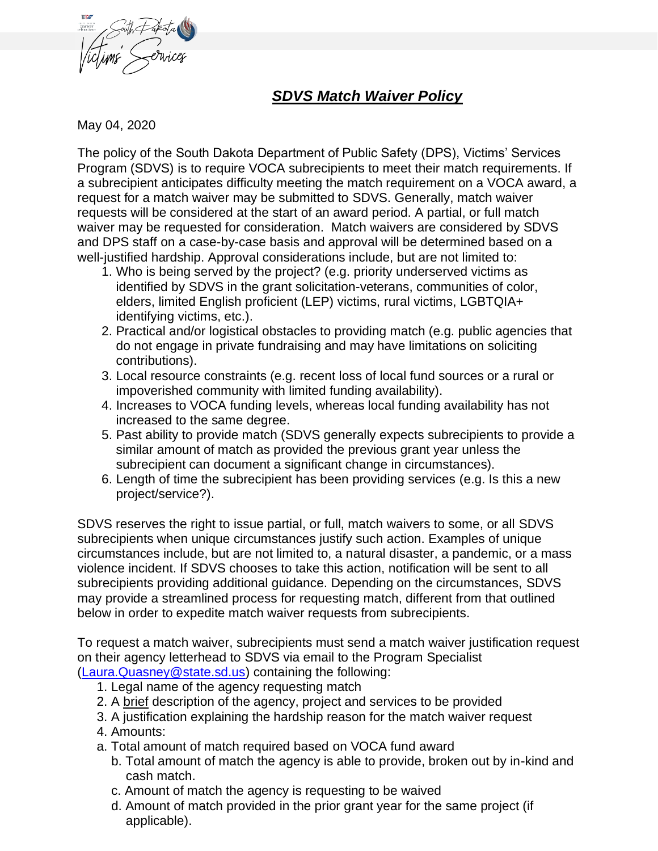

## *SDVS Match Waiver Policy*

May 04, 2020

The policy of the South Dakota Department of Public Safety (DPS), Victims' Services Program (SDVS) is to require VOCA subrecipients to meet their match requirements. If a subrecipient anticipates difficulty meeting the match requirement on a VOCA award, a request for a match waiver may be submitted to SDVS. Generally, match waiver requests will be considered at the start of an award period. A partial, or full match waiver may be requested for consideration. Match waivers are considered by SDVS and DPS staff on a case-by-case basis and approval will be determined based on a well-justified hardship. Approval considerations include, but are not limited to:

- 1. Who is being served by the project? (e.g. priority underserved victims as identified by SDVS in the grant solicitation-veterans, communities of color, elders, limited English proficient (LEP) victims, rural victims, LGBTQIA+ identifying victims, etc.).
- 2. Practical and/or logistical obstacles to providing match (e.g. public agencies that do not engage in private fundraising and may have limitations on soliciting contributions).
- 3. Local resource constraints (e.g. recent loss of local fund sources or a rural or impoverished community with limited funding availability).
- 4. Increases to VOCA funding levels, whereas local funding availability has not increased to the same degree.
- 5. Past ability to provide match (SDVS generally expects subrecipients to provide a similar amount of match as provided the previous grant year unless the subrecipient can document a significant change in circumstances).
- 6. Length of time the subrecipient has been providing services (e.g. Is this a new project/service?).

SDVS reserves the right to issue partial, or full, match waivers to some, or all SDVS subrecipients when unique circumstances justify such action. Examples of unique circumstances include, but are not limited to, a natural disaster, a pandemic, or a mass violence incident. If SDVS chooses to take this action, notification will be sent to all subrecipients providing additional guidance. Depending on the circumstances, SDVS may provide a streamlined process for requesting match, different from that outlined below in order to expedite match waiver requests from subrecipients.

To request a match waiver, subrecipients must send a match waiver justification request on their agency letterhead to SDVS via email to the Program Specialist

- [\(Laura.Quasney@state.sd.us\)](mailto:Laura.Quasney@state.sd.us) containing the following:
	- 1. Legal name of the agency requesting match
	- 2. A brief description of the agency, project and services to be provided
	- 3. A justification explaining the hardship reason for the match waiver request
	- 4. Amounts:
	- a. Total amount of match required based on VOCA fund award
		- b. Total amount of match the agency is able to provide, broken out by in-kind and cash match.
		- c. Amount of match the agency is requesting to be waived
		- d. Amount of match provided in the prior grant year for the same project (if applicable).